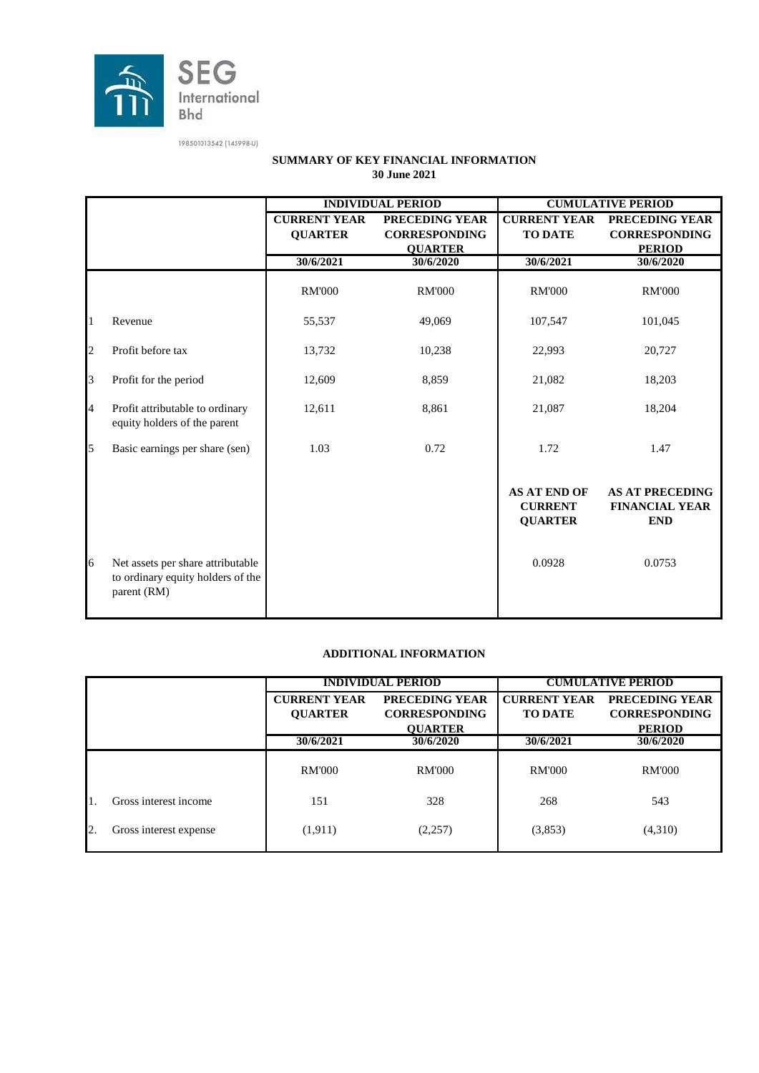

|              |                                                                                       | <b>INDIVIDUAL PERIOD</b><br><b>CUMULATIVE PERIOD</b> |                      |                                                         |                                                               |  |
|--------------|---------------------------------------------------------------------------------------|------------------------------------------------------|----------------------|---------------------------------------------------------|---------------------------------------------------------------|--|
|              |                                                                                       |                                                      |                      |                                                         |                                                               |  |
|              |                                                                                       | <b>CURRENT YEAR</b>                                  | PRECEDING YEAR       | <b>CURRENT YEAR</b>                                     | PRECEDING YEAR                                                |  |
|              |                                                                                       | <b>QUARTER</b>                                       | <b>CORRESPONDING</b> | <b>TO DATE</b>                                          | <b>CORRESPONDING</b>                                          |  |
|              |                                                                                       |                                                      | <b>QUARTER</b>       |                                                         | <b>PERIOD</b>                                                 |  |
|              |                                                                                       | 30/6/2021                                            | 30/6/2020            | 30/6/2021                                               | 30/6/2020                                                     |  |
|              |                                                                                       | <b>RM'000</b>                                        | <b>RM'000</b>        | <b>RM'000</b>                                           | <b>RM'000</b>                                                 |  |
| $\mathbf{1}$ | Revenue                                                                               | 55,537                                               | 49,069               | 107,547                                                 | 101,045                                                       |  |
| 2            | Profit before tax                                                                     | 13,732                                               | 10,238               | 22,993                                                  | 20,727                                                        |  |
| 3            | Profit for the period                                                                 | 12,609                                               | 8,859                | 21,082                                                  | 18,203                                                        |  |
| 4            | Profit attributable to ordinary<br>equity holders of the parent                       | 12,611                                               | 8,861                | 21,087                                                  | 18,204                                                        |  |
| 5            | Basic earnings per share (sen)                                                        | 1.03                                                 | 0.72                 | 1.72                                                    | 1.47                                                          |  |
|              |                                                                                       |                                                      |                      | <b>AS AT END OF</b><br><b>CURRENT</b><br><b>QUARTER</b> | <b>AS AT PRECEDING</b><br><b>FINANCIAL YEAR</b><br><b>END</b> |  |
| 6            | Net assets per share attributable<br>to ordinary equity holders of the<br>parent (RM) |                                                      |                      | 0.0928                                                  | 0.0753                                                        |  |

#### **SUMMARY OF KEY FINANCIAL INFORMATION 30 June 2021**

#### **ADDITIONAL INFORMATION**

|    |                        | <b>INDIVIDUAL PERIOD</b> |                      | <b>CUMULATIVE PERIOD</b> |                      |  |
|----|------------------------|--------------------------|----------------------|--------------------------|----------------------|--|
|    |                        | <b>CURRENT YEAR</b>      | PRECEDING YEAR       | <b>CURRENT YEAR</b>      | PRECEDING YEAR       |  |
|    |                        | <b>OUARTER</b>           | <b>CORRESPONDING</b> | <b>TO DATE</b>           | <b>CORRESPONDING</b> |  |
|    |                        |                          | <b>OUARTER</b>       |                          | <b>PERIOD</b>        |  |
|    |                        | 30/6/2021                | 30/6/2020            | 30/6/2021                | 30/6/2020            |  |
|    |                        | <b>RM'000</b>            | <b>RM'000</b>        | <b>RM'000</b>            | <b>RM'000</b>        |  |
|    | Gross interest income  | 151                      | 328                  | 268                      | 543                  |  |
| 2. | Gross interest expense | (1, 911)                 | (2,257)              | (3,853)                  | (4,310)              |  |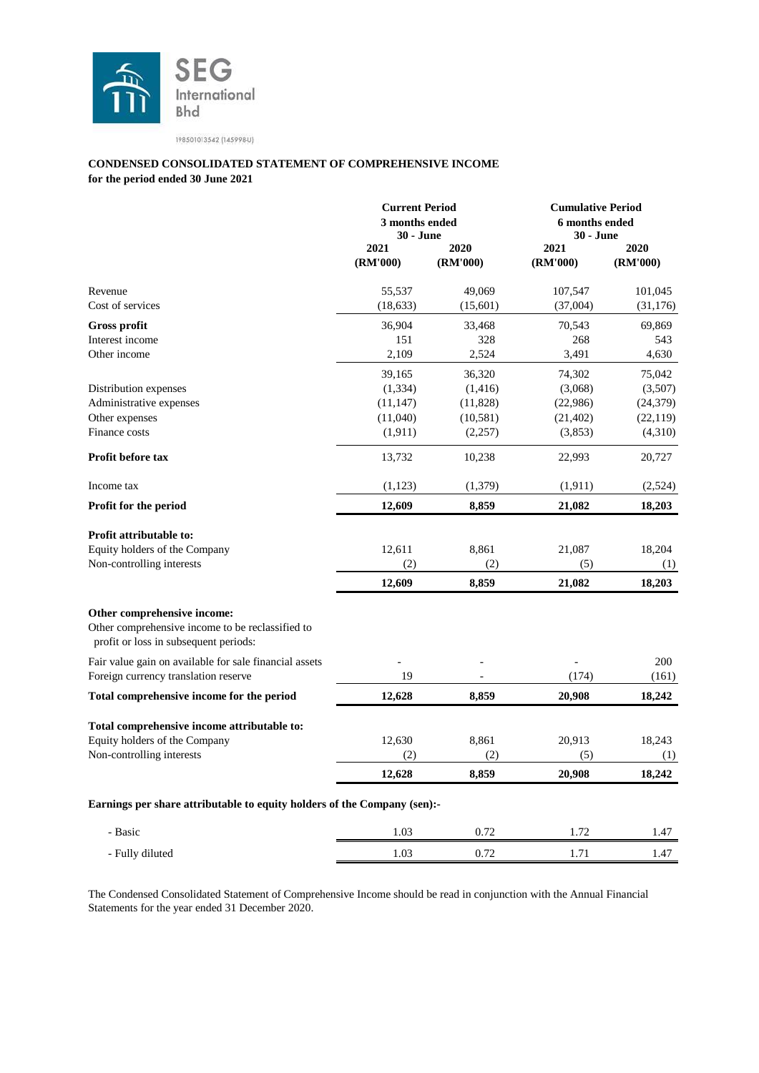

#### **for the period ended 30 June 2021 CONDENSED CONSOLIDATED STATEMENT OF COMPREHENSIVE INCOME**

|                                                                                                                          |                                                        | <b>Current Period</b><br>3 months ended<br><b>30 - June</b> |                                                       | <b>Cumulative Period</b><br>6 months ended<br><b>30 - June</b> |
|--------------------------------------------------------------------------------------------------------------------------|--------------------------------------------------------|-------------------------------------------------------------|-------------------------------------------------------|----------------------------------------------------------------|
|                                                                                                                          | 2021<br>(RM'000)                                       | 2020<br>(RM'000)                                            | 2021<br>(RM'000)                                      | 2020<br>(RM'000)                                               |
| Revenue<br>Cost of services                                                                                              | 55,537<br>(18, 633)                                    | 49,069<br>(15,601)                                          | 107,547<br>(37,004)                                   | 101,045<br>(31, 176)                                           |
| <b>Gross profit</b><br>Interest income<br>Other income                                                                   | 36,904<br>151<br>2,109                                 | 33,468<br>328<br>2,524                                      | 70,543<br>268<br>3,491                                | 69,869<br>543<br>4,630                                         |
| Distribution expenses<br>Administrative expenses<br>Other expenses<br>Finance costs                                      | 39,165<br>(1, 334)<br>(11, 147)<br>(11,040)<br>(1,911) | 36,320<br>(1,416)<br>(11, 828)<br>(10, 581)<br>(2,257)      | 74,302<br>(3,068)<br>(22,986)<br>(21, 402)<br>(3,853) | 75,042<br>(3,507)<br>(24, 379)<br>(22, 119)<br>(4,310)         |
| <b>Profit before tax</b>                                                                                                 | 13,732                                                 | 10,238                                                      | 22,993                                                | 20,727                                                         |
| Income tax<br>Profit for the period                                                                                      | (1,123)<br>12,609                                      | (1,379)<br>8,859                                            | (1, 911)<br>21,082                                    | (2,524)<br>18,203                                              |
| <b>Profit attributable to:</b><br>Equity holders of the Company<br>Non-controlling interests                             | 12,611<br>(2)<br>12,609                                | 8,861<br>(2)<br>8,859                                       | 21,087<br>(5)<br>21,082                               | 18,204<br>(1)<br>18,203                                        |
| Other comprehensive income:<br>Other comprehensive income to be reclassified to<br>profit or loss in subsequent periods: |                                                        |                                                             |                                                       |                                                                |
| Fair value gain on available for sale financial assets<br>Foreign currency translation reserve                           | 19                                                     |                                                             | (174)                                                 | 200<br>(161)                                                   |
| Total comprehensive income for the period                                                                                | 12,628                                                 | 8,859                                                       | 20,908                                                | 18,242                                                         |
| Total comprehensive income attributable to:<br>Equity holders of the Company<br>Non-controlling interests                | 12,630<br>(2)                                          | 8,861<br>(2)                                                | 20,913<br>(5)                                         | 18,243<br>(1)                                                  |
|                                                                                                                          | 12,628                                                 | 8,859                                                       | 20,908                                                | 18,242                                                         |
| Earnings per share attributable to equity holders of the Company (sen):-                                                 |                                                        |                                                             |                                                       |                                                                |
| - Basic                                                                                                                  | 1.03                                                   | 0.72                                                        | 1.72                                                  | 1.47                                                           |
| - Fully diluted                                                                                                          | 1.03                                                   | 0.72                                                        | 1.71                                                  | 1.47                                                           |

The Condensed Consolidated Statement of Comprehensive Income should be read in conjunction with the Annual Financial Statements for the year ended 31 December 2020.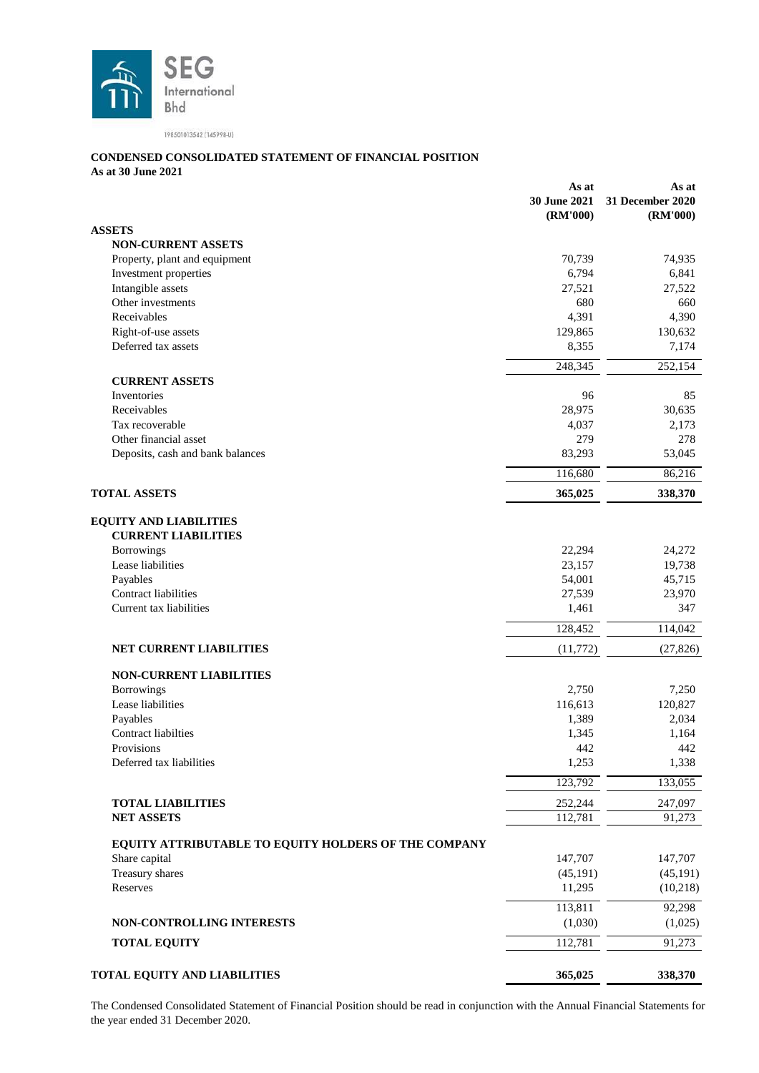

# **CONDENSED CONSOLIDATED STATEMENT OF FINANCIAL POSITION**

**As at 30 June 2021**

|                                                             | As at<br>30 June 2021<br>(RM'000) | As at<br>31 December 2020<br>(RM'000) |
|-------------------------------------------------------------|-----------------------------------|---------------------------------------|
| <b>ASSETS</b>                                               |                                   |                                       |
| <b>NON-CURRENT ASSETS</b>                                   |                                   |                                       |
| Property, plant and equipment                               | 70,739                            | 74,935                                |
| Investment properties                                       | 6,794                             | 6,841                                 |
| Intangible assets                                           | 27,521                            | 27,522                                |
| Other investments                                           | 680                               | 660                                   |
| Receivables                                                 | 4,391                             | 4,390                                 |
| Right-of-use assets                                         | 129,865                           | 130,632                               |
| Deferred tax assets                                         | 8,355                             | 7,174                                 |
|                                                             | 248,345                           | 252,154                               |
| <b>CURRENT ASSETS</b>                                       |                                   |                                       |
| Inventories                                                 | 96                                | 85                                    |
| Receivables                                                 | 28,975                            | 30,635                                |
| Tax recoverable                                             | 4,037                             | 2,173                                 |
| Other financial asset                                       | 279                               | 278                                   |
| Deposits, cash and bank balances                            | 83,293                            | 53,045                                |
|                                                             | 116,680                           | 86,216                                |
| <b>TOTAL ASSETS</b>                                         | 365,025                           | 338,370                               |
| <b>EQUITY AND LIABILITIES</b><br><b>CURRENT LIABILITIES</b> |                                   |                                       |
| Borrowings                                                  | 22,294                            | 24,272                                |
| Lease liabilities                                           | 23,157                            | 19,738                                |
| Payables                                                    | 54,001                            | 45,715                                |
| Contract liabilities                                        | 27,539                            | 23,970                                |
| Current tax liabilities                                     | 1,461                             | 347                                   |
|                                                             | 128,452                           | 114,042                               |
| <b>NET CURRENT LIABILITIES</b>                              | (11, 772)                         | (27, 826)                             |
| <b>NON-CURRENT LIABILITIES</b>                              |                                   |                                       |
| <b>Borrowings</b>                                           | 2,750                             | 7,250                                 |
| Lease liabilities                                           | 116,613                           | 120,827                               |
| Payables                                                    | 1,389                             | 2,034                                 |
| Contract liabilties                                         | 1,345                             | 1,164                                 |
| Provisions                                                  | 442                               | 442                                   |
| Deferred tax liabilities                                    | 1,253                             | 1,338                                 |
|                                                             | 123,792                           | 133,055                               |
| <b>TOTAL LIABILITIES</b>                                    | 252,244                           | 247,097                               |
| <b>NET ASSETS</b>                                           | 112,781                           | 91,273                                |
| EQUITY ATTRIBUTABLE TO EQUITY HOLDERS OF THE COMPANY        |                                   |                                       |
| Share capital                                               | 147,707                           | 147,707                               |
| Treasury shares                                             | (45, 191)                         | (45, 191)                             |
| Reserves                                                    | 11,295                            | (10, 218)                             |
|                                                             | 113,811                           | 92,298                                |
| <b>NON-CONTROLLING INTERESTS</b>                            | (1,030)                           | (1,025)                               |
| <b>TOTAL EQUITY</b>                                         | 112,781                           | 91,273                                |
| <b>TOTAL EQUITY AND LIABILITIES</b>                         | 365,025                           | 338,370                               |

The Condensed Consolidated Statement of Financial Position should be read in conjunction with the Annual Financial Statements for the year ended 31 December 2020.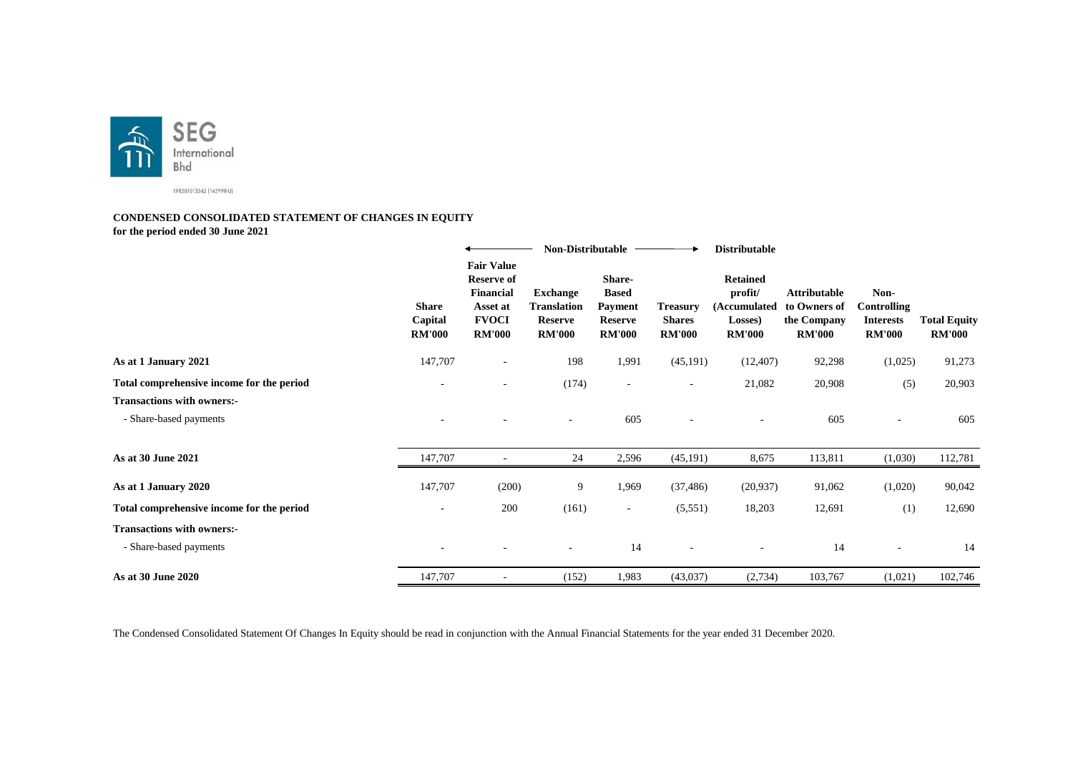

#### **CONDENSED CONSOLIDATED STATEMENT OF CHANGES IN EQUITY for the period ended 30 June 2021**

|                                           |                                          |                                                                                                  | <b>Non-Distributable</b>                                                 |                                                                             |                                                   | <b>Distributable</b>                                                   |                                                                     |                                                                 |                                      |
|-------------------------------------------|------------------------------------------|--------------------------------------------------------------------------------------------------|--------------------------------------------------------------------------|-----------------------------------------------------------------------------|---------------------------------------------------|------------------------------------------------------------------------|---------------------------------------------------------------------|-----------------------------------------------------------------|--------------------------------------|
|                                           | <b>Share</b><br>Capital<br><b>RM'000</b> | <b>Fair Value</b><br><b>Reserve of</b><br>Financial<br>Asset at<br><b>FVOCI</b><br><b>RM'000</b> | <b>Exchange</b><br><b>Translation</b><br><b>Reserve</b><br><b>RM'000</b> | Share-<br><b>Based</b><br><b>Payment</b><br><b>Reserve</b><br><b>RM'000</b> | <b>Treasury</b><br><b>Shares</b><br><b>RM'000</b> | <b>Retained</b><br>profit/<br>(Accumulated<br>Losses)<br><b>RM'000</b> | <b>Attributable</b><br>to Owners of<br>the Company<br><b>RM'000</b> | Non-<br><b>Controlling</b><br><b>Interests</b><br><b>RM'000</b> | <b>Total Equity</b><br><b>RM'000</b> |
| As at 1 January 2021                      | 147,707                                  | $\sim$                                                                                           | 198                                                                      | 1,991                                                                       | (45, 191)                                         | (12, 407)                                                              | 92,298                                                              | (1,025)                                                         | 91,273                               |
| Total comprehensive income for the period | $\overline{\phantom{a}}$                 | $\overline{\phantom{a}}$                                                                         | (174)                                                                    | $\overline{\phantom{a}}$                                                    | $\sim$                                            | 21,082                                                                 | 20,908                                                              | (5)                                                             | 20,903                               |
| <b>Transactions with owners:-</b>         |                                          |                                                                                                  |                                                                          |                                                                             |                                                   |                                                                        |                                                                     |                                                                 |                                      |
| - Share-based payments                    |                                          |                                                                                                  | $\overline{\phantom{a}}$                                                 | 605                                                                         |                                                   |                                                                        | 605                                                                 |                                                                 | 605                                  |
| As at 30 June 2021                        | 147,707                                  |                                                                                                  | 24                                                                       | 2,596                                                                       | (45, 191)                                         | 8,675                                                                  | 113,811                                                             | (1,030)                                                         | 112,781                              |
| As at 1 January 2020                      | 147,707                                  | (200)                                                                                            | 9                                                                        | 1,969                                                                       | (37, 486)                                         | (20, 937)                                                              | 91,062                                                              | (1,020)                                                         | 90,042                               |
| Total comprehensive income for the period | $\overline{\phantom{a}}$                 | 200                                                                                              | (161)                                                                    | $\overline{\phantom{a}}$                                                    | (5,551)                                           | 18,203                                                                 | 12,691                                                              | (1)                                                             | 12,690                               |
| <b>Transactions with owners:-</b>         |                                          |                                                                                                  |                                                                          |                                                                             |                                                   |                                                                        |                                                                     |                                                                 |                                      |
| - Share-based payments                    |                                          |                                                                                                  |                                                                          | 14                                                                          |                                                   |                                                                        | 14                                                                  |                                                                 | 14                                   |
| As at 30 June 2020                        | 147,707                                  |                                                                                                  | (152)                                                                    | 1,983                                                                       | (43,037)                                          | (2,734)                                                                | 103,767                                                             | (1,021)                                                         | 102,746                              |

The Condensed Consolidated Statement Of Changes In Equity should be read in conjunction with the Annual Financial Statements for the year ended 31 December 2020.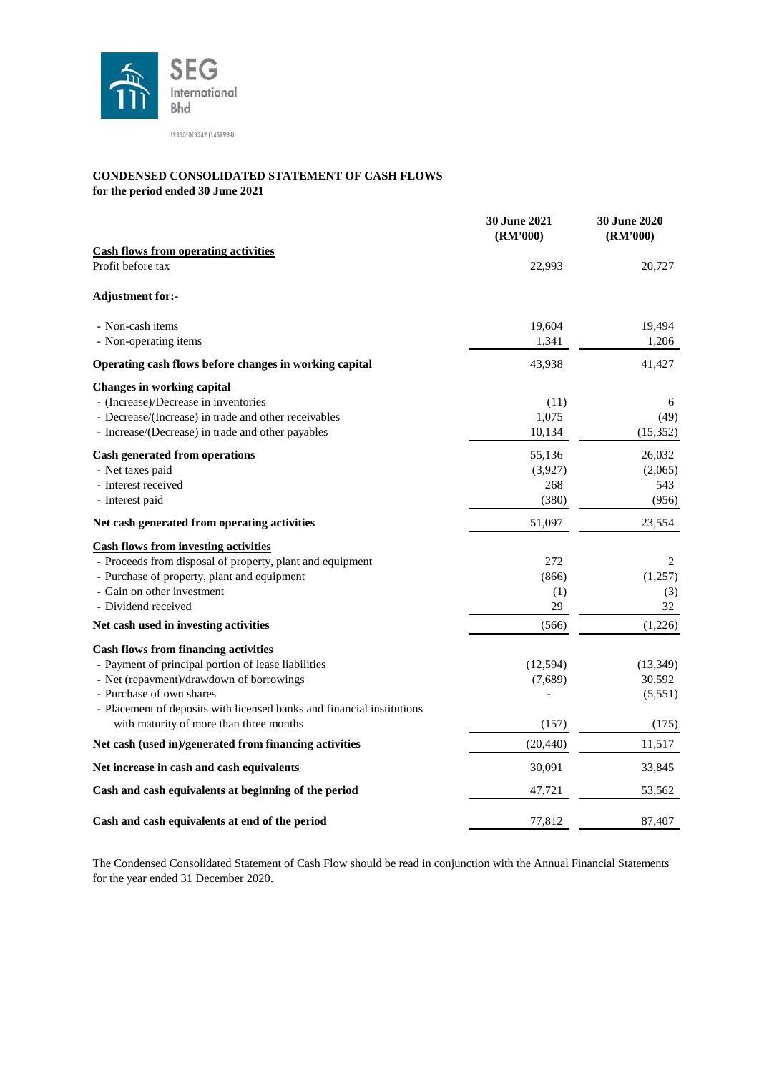

# **CONDENSED CONSOLIDATED STATEMENT OF CASH FLOWS**

**for the period ended 30 June 2021**

|                                                                        | 30 June 2021<br>(RM'000) | 30 June 2020<br>(RM'000) |
|------------------------------------------------------------------------|--------------------------|--------------------------|
| <b>Cash flows from operating activities</b>                            |                          |                          |
| Profit before tax                                                      | 22,993                   | 20,727                   |
| <b>Adjustment for:-</b>                                                |                          |                          |
| - Non-cash items                                                       | 19,604                   | 19,494                   |
| - Non-operating items                                                  | 1,341                    | 1,206                    |
| Operating cash flows before changes in working capital                 | 43,938                   | 41,427                   |
| Changes in working capital                                             |                          |                          |
| - (Increase)/Decrease in inventories                                   | (11)                     | 6                        |
| - Decrease/(Increase) in trade and other receivables                   | 1,075                    | (49)                     |
| - Increase/(Decrease) in trade and other payables                      | 10,134                   | (15,352)                 |
| <b>Cash generated from operations</b>                                  | 55,136                   | 26,032                   |
| - Net taxes paid                                                       | (3,927)                  | (2,065)                  |
| - Interest received                                                    | 268                      | 543                      |
| - Interest paid                                                        | (380)                    | (956)                    |
| Net cash generated from operating activities                           | 51,097                   | 23,554                   |
| <b>Cash flows from investing activities</b>                            |                          |                          |
| - Proceeds from disposal of property, plant and equipment              | 272                      | 2                        |
| - Purchase of property, plant and equipment                            | (866)                    | (1,257)                  |
| - Gain on other investment                                             | (1)                      | (3)                      |
| - Dividend received                                                    | 29                       | 32                       |
| Net cash used in investing activities                                  | (566)                    | (1,226)                  |
| <b>Cash flows from financing activities</b>                            |                          |                          |
| - Payment of principal portion of lease liabilities                    | (12, 594)                | (13, 349)                |
| - Net (repayment)/drawdown of borrowings                               | (7,689)                  | 30,592                   |
| - Purchase of own shares                                               |                          | (5,551)                  |
| - Placement of deposits with licensed banks and financial institutions |                          |                          |
| with maturity of more than three months                                | (157)                    | (175)                    |
| Net cash (used in)/generated from financing activities                 | (20, 440)                | 11,517                   |
| Net increase in cash and cash equivalents                              | 30,091                   | 33,845                   |
| Cash and cash equivalents at beginning of the period                   | 47,721                   | 53,562                   |
| Cash and cash equivalents at end of the period                         | 77,812                   | 87,407                   |

The Condensed Consolidated Statement of Cash Flow should be read in conjunction with the Annual Financial Statements for the year ended 31 December 2020.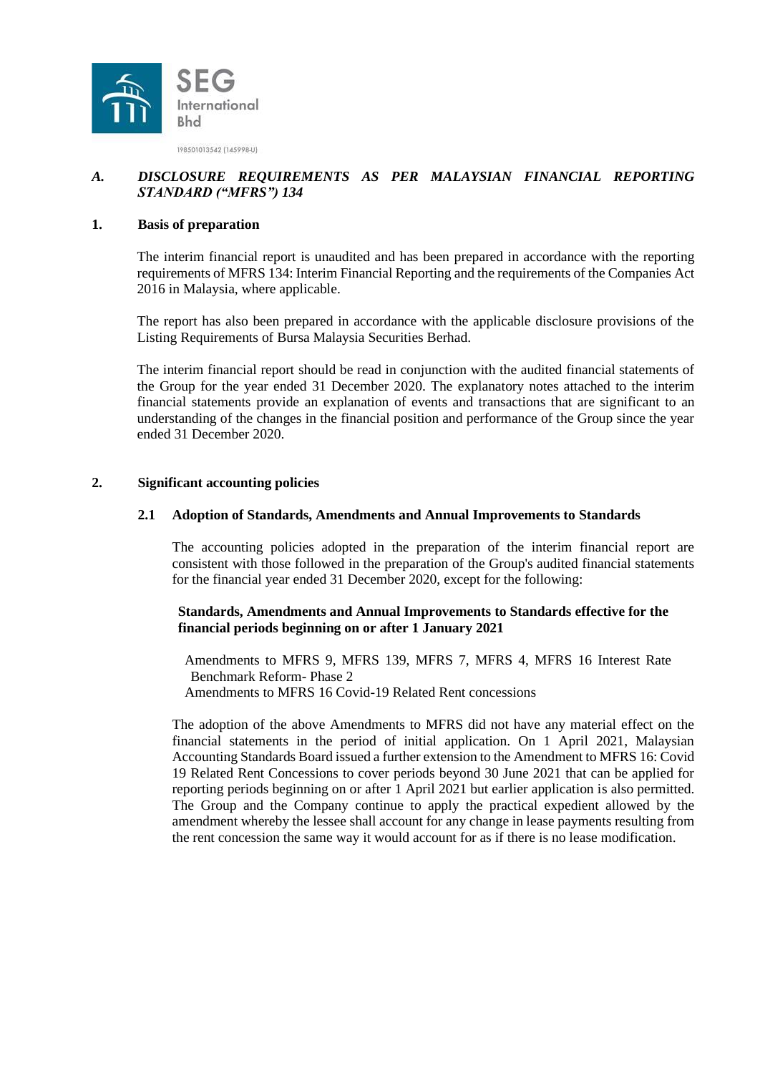

### *A. DISCLOSURE REQUIREMENTS AS PER MALAYSIAN FINANCIAL REPORTING STANDARD ("MFRS") 134*

#### **1. Basis of preparation**

The interim financial report is unaudited and has been prepared in accordance with the reporting requirements of MFRS 134: Interim Financial Reporting and the requirements of the Companies Act 2016 in Malaysia, where applicable.

The report has also been prepared in accordance with the applicable disclosure provisions of the Listing Requirements of Bursa Malaysia Securities Berhad.

The interim financial report should be read in conjunction with the audited financial statements of the Group for the year ended 31 December 2020. The explanatory notes attached to the interim financial statements provide an explanation of events and transactions that are significant to an understanding of the changes in the financial position and performance of the Group since the year ended 31 December 2020.

#### **2. Significant accounting policies**

#### **2.1 Adoption of Standards, Amendments and Annual Improvements to Standards**

The accounting policies adopted in the preparation of the interim financial report are consistent with those followed in the preparation of the Group's audited financial statements for the financial year ended 31 December 2020, except for the following:

#### **Standards, Amendments and Annual Improvements to Standards effective for the financial periods beginning on or after 1 January 2021**

Amendments to MFRS 9, MFRS 139, MFRS 7, MFRS 4, MFRS 16 Interest Rate Benchmark Reform- Phase 2 Amendments to MFRS 16 Covid-19 Related Rent concessions

The adoption of the above Amendments to MFRS did not have any material effect on the financial statements in the period of initial application. On 1 April 2021, Malaysian Accounting Standards Board issued a further extension to the Amendment to MFRS 16: Covid 19 Related Rent Concessions to cover periods beyond 30 June 2021 that can be applied for reporting periods beginning on or after 1 April 2021 but earlier application is also permitted. The Group and the Company continue to apply the practical expedient allowed by the amendment whereby the lessee shall account for any change in lease payments resulting from the rent concession the same way it would account for as if there is no lease modification.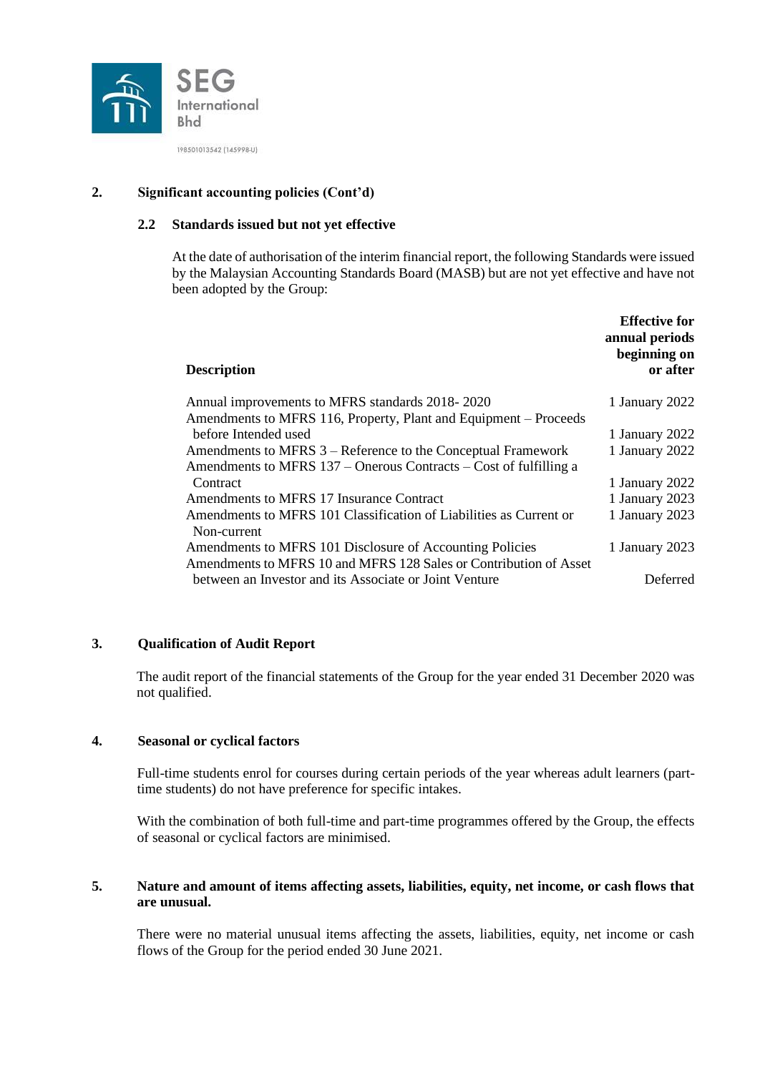

# **2. Significant accounting policies (Cont'd)**

### **2.2 Standards issued but not yet effective**

At the date of authorisation of the interim financial report, the following Standards were issued by the Malaysian Accounting Standards Board (MASB) but are not yet effective and have not been adopted by the Group:

| <b>Description</b>                                                                                                            | <b>Effective for</b><br>annual periods<br>beginning on<br>or after |
|-------------------------------------------------------------------------------------------------------------------------------|--------------------------------------------------------------------|
| Annual improvements to MFRS standards 2018-2020                                                                               | 1 January 2022                                                     |
| Amendments to MFRS 116, Property, Plant and Equipment – Proceeds                                                              |                                                                    |
| before Intended used                                                                                                          | 1 January 2022                                                     |
| Amendments to MFRS 3 – Reference to the Conceptual Framework                                                                  | 1 January 2022                                                     |
| Amendments to MFRS 137 – Onerous Contracts – Cost of fulfilling a                                                             |                                                                    |
| Contract                                                                                                                      | 1 January 2022                                                     |
| Amendments to MFRS 17 Insurance Contract                                                                                      | 1 January 2023                                                     |
| Amendments to MFRS 101 Classification of Liabilities as Current or<br>Non-current                                             | 1 January 2023                                                     |
| Amendments to MFRS 101 Disclosure of Accounting Policies<br>Amendments to MFRS 10 and MFRS 128 Sales or Contribution of Asset | 1 January 2023                                                     |
| between an Investor and its Associate or Joint Venture                                                                        | Deferred                                                           |

## **3. Qualification of Audit Report**

The audit report of the financial statements of the Group for the year ended 31 December 2020 was not qualified.

#### **4. Seasonal or cyclical factors**

Full-time students enrol for courses during certain periods of the year whereas adult learners (parttime students) do not have preference for specific intakes.

With the combination of both full-time and part-time programmes offered by the Group, the effects of seasonal or cyclical factors are minimised.

### **5. Nature and amount of items affecting assets, liabilities, equity, net income, or cash flows that are unusual.**

There were no material unusual items affecting the assets, liabilities, equity, net income or cash flows of the Group for the period ended 30 June 2021.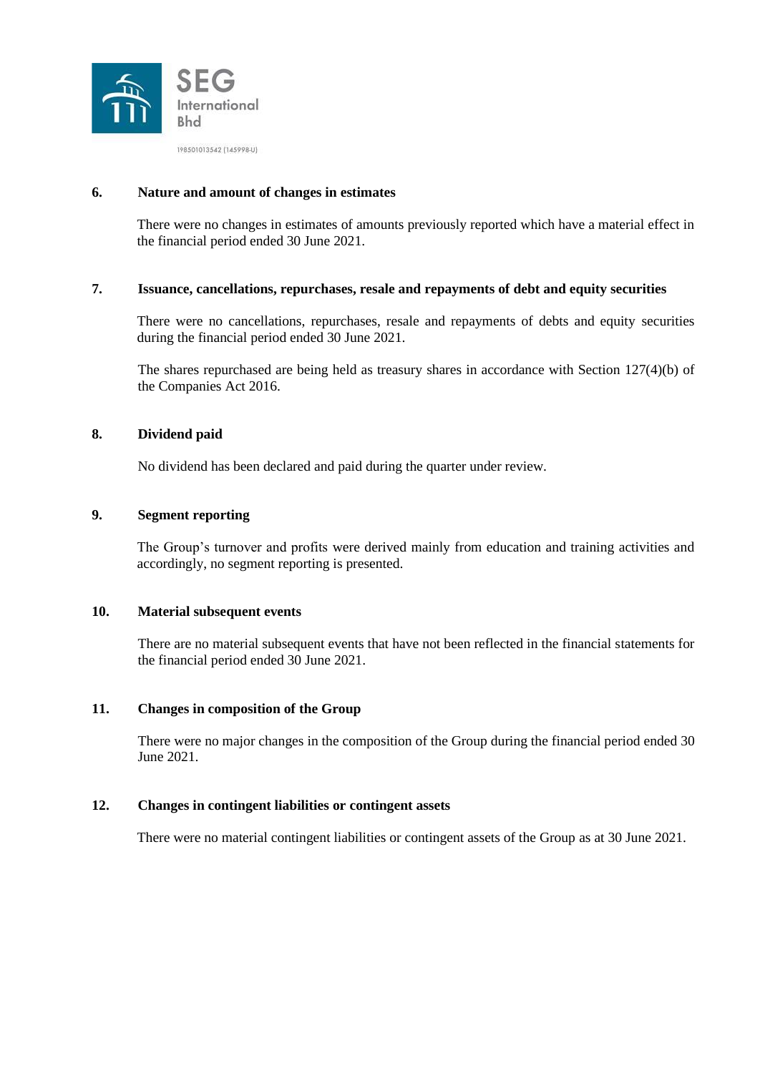

### **6. Nature and amount of changes in estimates**

There were no changes in estimates of amounts previously reported which have a material effect in the financial period ended 30 June 2021.

## **7. Issuance, cancellations, repurchases, resale and repayments of debt and equity securities**

There were no cancellations, repurchases, resale and repayments of debts and equity securities during the financial period ended 30 June 2021.

The shares repurchased are being held as treasury shares in accordance with Section 127(4)(b) of the Companies Act 2016.

### **8. Dividend paid**

No dividend has been declared and paid during the quarter under review.

### **9. Segment reporting**

The Group's turnover and profits were derived mainly from education and training activities and accordingly, no segment reporting is presented.

#### **10. Material subsequent events**

There are no material subsequent events that have not been reflected in the financial statements for the financial period ended 30 June 2021.

#### **11. Changes in composition of the Group**

There were no major changes in the composition of the Group during the financial period ended 30 June 2021.

#### **12. Changes in contingent liabilities or contingent assets**

There were no material contingent liabilities or contingent assets of the Group as at 30 June 2021.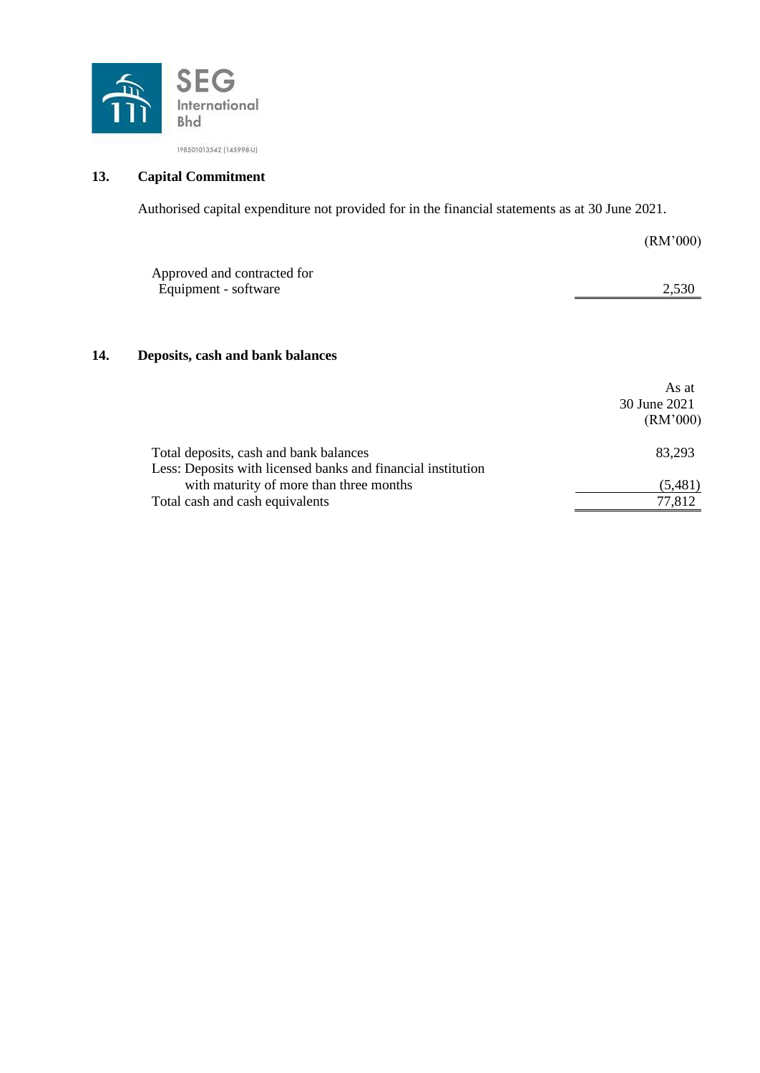

# **13. Capital Commitment**

Authorised capital expenditure not provided for in the financial statements as at 30 June 2021.

|     |                                                              | (RM'000)     |
|-----|--------------------------------------------------------------|--------------|
|     | Approved and contracted for<br>Equipment - software          | 2,530        |
| 14. | Deposits, cash and bank balances                             |              |
|     |                                                              | As at        |
|     |                                                              | 30 June 2021 |
|     |                                                              | (RM'000)     |
|     | Total deposits, cash and bank balances                       | 83,293       |
|     | Less: Deposits with licensed banks and financial institution |              |
|     | with maturity of more than three months                      | (5,481)      |
|     | Total cash and cash equivalents                              | 77,812       |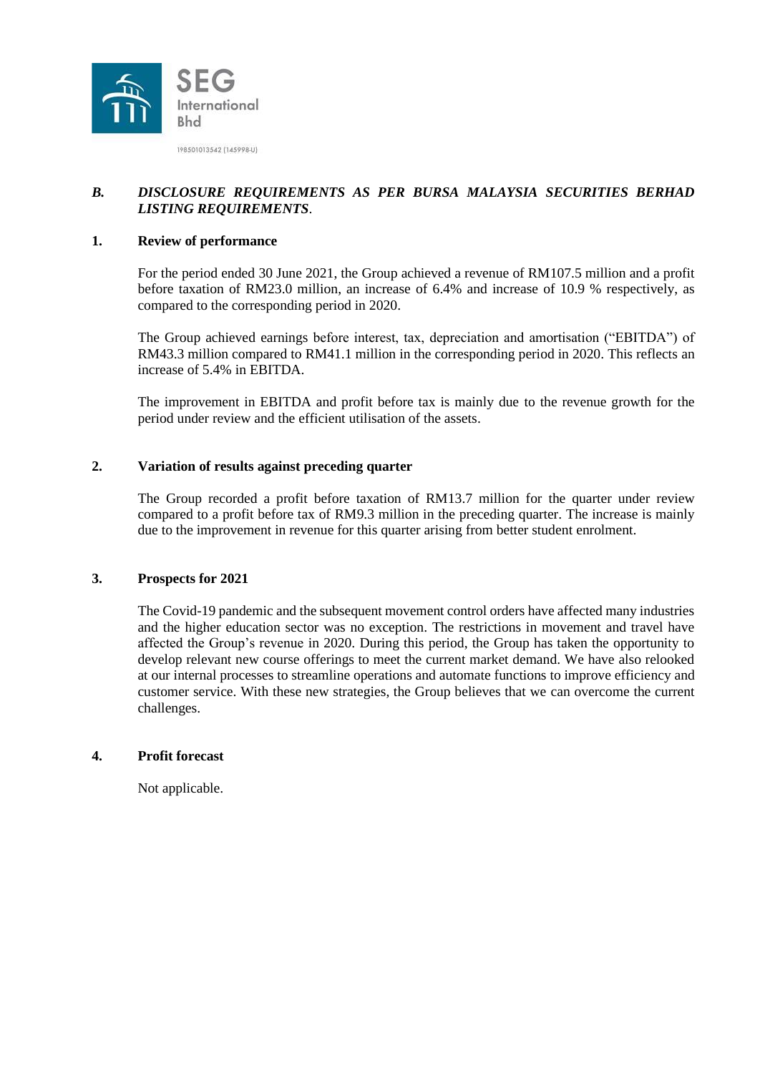

# *B. DISCLOSURE REQUIREMENTS AS PER BURSA MALAYSIA SECURITIES BERHAD LISTING REQUIREMENTS*.

### **1. Review of performance**

For the period ended 30 June 2021, the Group achieved a revenue of RM107.5 million and a profit before taxation of RM23.0 million, an increase of 6.4% and increase of 10.9 % respectively, as compared to the corresponding period in 2020.

The Group achieved earnings before interest, tax, depreciation and amortisation ("EBITDA") of RM43.3 million compared to RM41.1 million in the corresponding period in 2020. This reflects an increase of 5.4% in EBITDA.

The improvement in EBITDA and profit before tax is mainly due to the revenue growth for the period under review and the efficient utilisation of the assets.

## **2. Variation of results against preceding quarter**

The Group recorded a profit before taxation of RM13.7 million for the quarter under review compared to a profit before tax of RM9.3 million in the preceding quarter. The increase is mainly due to the improvement in revenue for this quarter arising from better student enrolment.

### **3. Prospects for 2021**

The Covid-19 pandemic and the subsequent movement control orders have affected many industries and the higher education sector was no exception. The restrictions in movement and travel have affected the Group's revenue in 2020. During this period, the Group has taken the opportunity to develop relevant new course offerings to meet the current market demand. We have also relooked at our internal processes to streamline operations and automate functions to improve efficiency and customer service. With these new strategies, the Group believes that we can overcome the current challenges.

#### **4. Profit forecast**

Not applicable.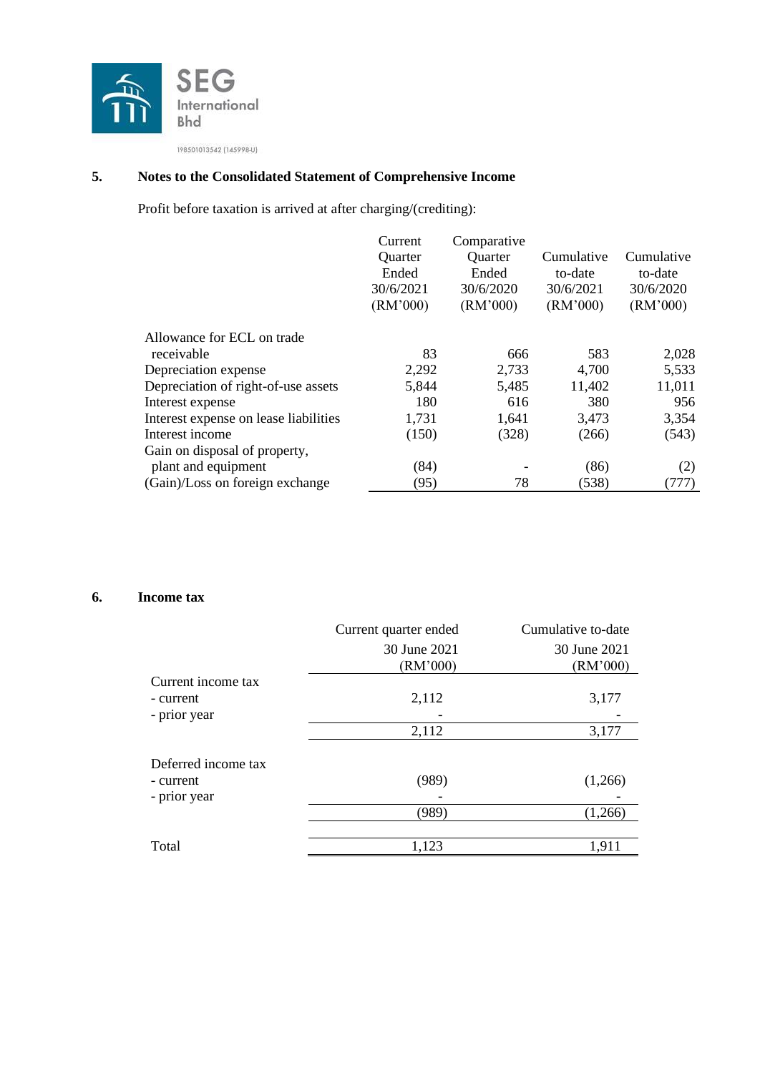

# **5. Notes to the Consolidated Statement of Comprehensive Income**

Profit before taxation is arrived at after charging/(crediting):

|                                       | Current   | Comparative |            |            |
|---------------------------------------|-----------|-------------|------------|------------|
|                                       | Quarter   | Quarter     | Cumulative | Cumulative |
|                                       | Ended     | Ended       | to-date    | to-date    |
|                                       | 30/6/2021 | 30/6/2020   | 30/6/2021  | 30/6/2020  |
|                                       | (RM'000)  | (RM'000)    | (RM'000)   | (RM'000)   |
| Allowance for ECL on trade            |           |             |            |            |
| receivable                            | 83        | 666         | 583        | 2,028      |
| Depreciation expense                  | 2,292     | 2,733       | 4,700      | 5,533      |
| Depreciation of right-of-use assets   | 5,844     | 5,485       | 11,402     | 11,011     |
| Interest expense                      | 180       | 616         | 380        | 956        |
| Interest expense on lease liabilities | 1,731     | 1,641       | 3,473      | 3,354      |
| Interest income                       | (150)     | (328)       | (266)      | (543)      |
| Gain on disposal of property,         |           |             |            |            |
| plant and equipment                   | (84)      |             | (86)       | (2)        |
| (Gain)/Loss on foreign exchange       | (95)      | 78          | (538)      | (777)      |

# **6. Income tax**

|                                                  | Current quarter ended    | Cumulative to-date       |
|--------------------------------------------------|--------------------------|--------------------------|
|                                                  | 30 June 2021<br>(RM'000) | 30 June 2021<br>(RM'000) |
| Current income tax<br>- current<br>- prior year  | 2,112                    | 3,177                    |
|                                                  | 2,112                    | 3,177                    |
| Deferred income tax<br>- current<br>- prior year | (989)                    | (1,266)                  |
|                                                  | (989)                    | (1,266)                  |
| Total                                            | 1,123                    | 1,911                    |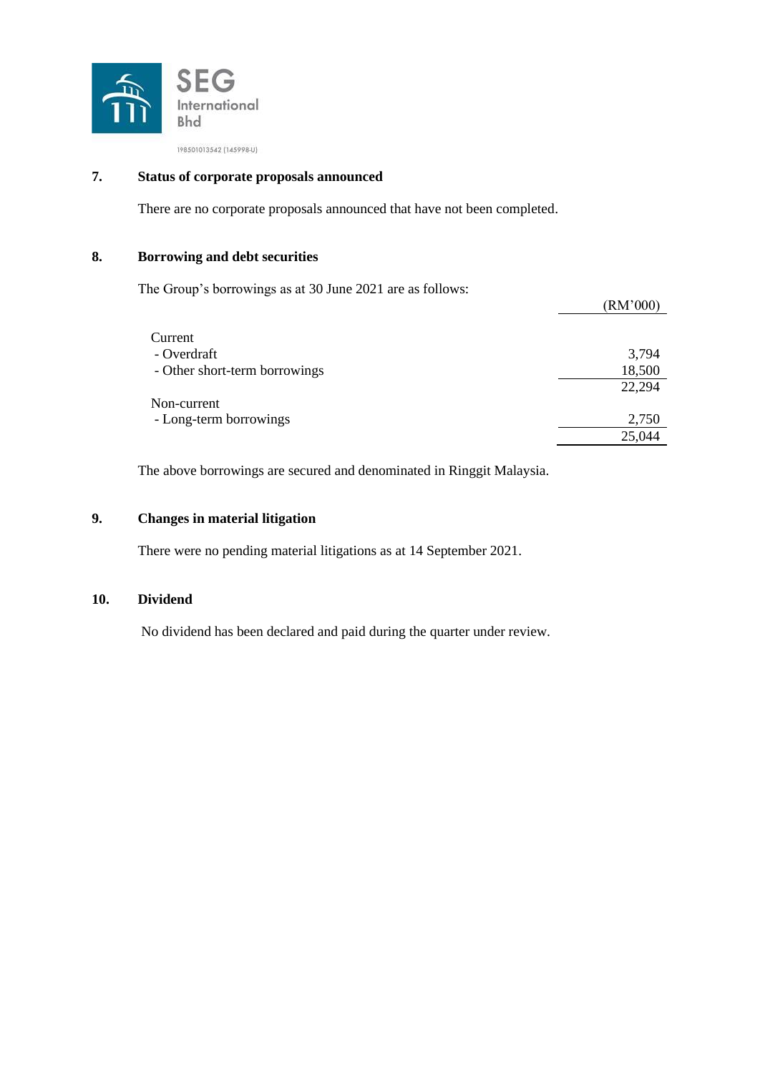

# **7. Status of corporate proposals announced**

There are no corporate proposals announced that have not been completed.

### **8. Borrowing and debt securities**

The Group's borrowings as at 30 June 2021 are as follows:

|                               | TAJVI VUVI |
|-------------------------------|------------|
| Current                       |            |
| - Overdraft                   | 3,794      |
| - Other short-term borrowings | 18,500     |
|                               | 22,294     |
| Non-current                   |            |
| - Long-term borrowings        | 2,750      |
|                               | 25,044     |

 $(DM'000)$ 

The above borrowings are secured and denominated in Ringgit Malaysia.

## **9. Changes in material litigation**

There were no pending material litigations as at 14 September 2021.

#### **10. Dividend**

No dividend has been declared and paid during the quarter under review.